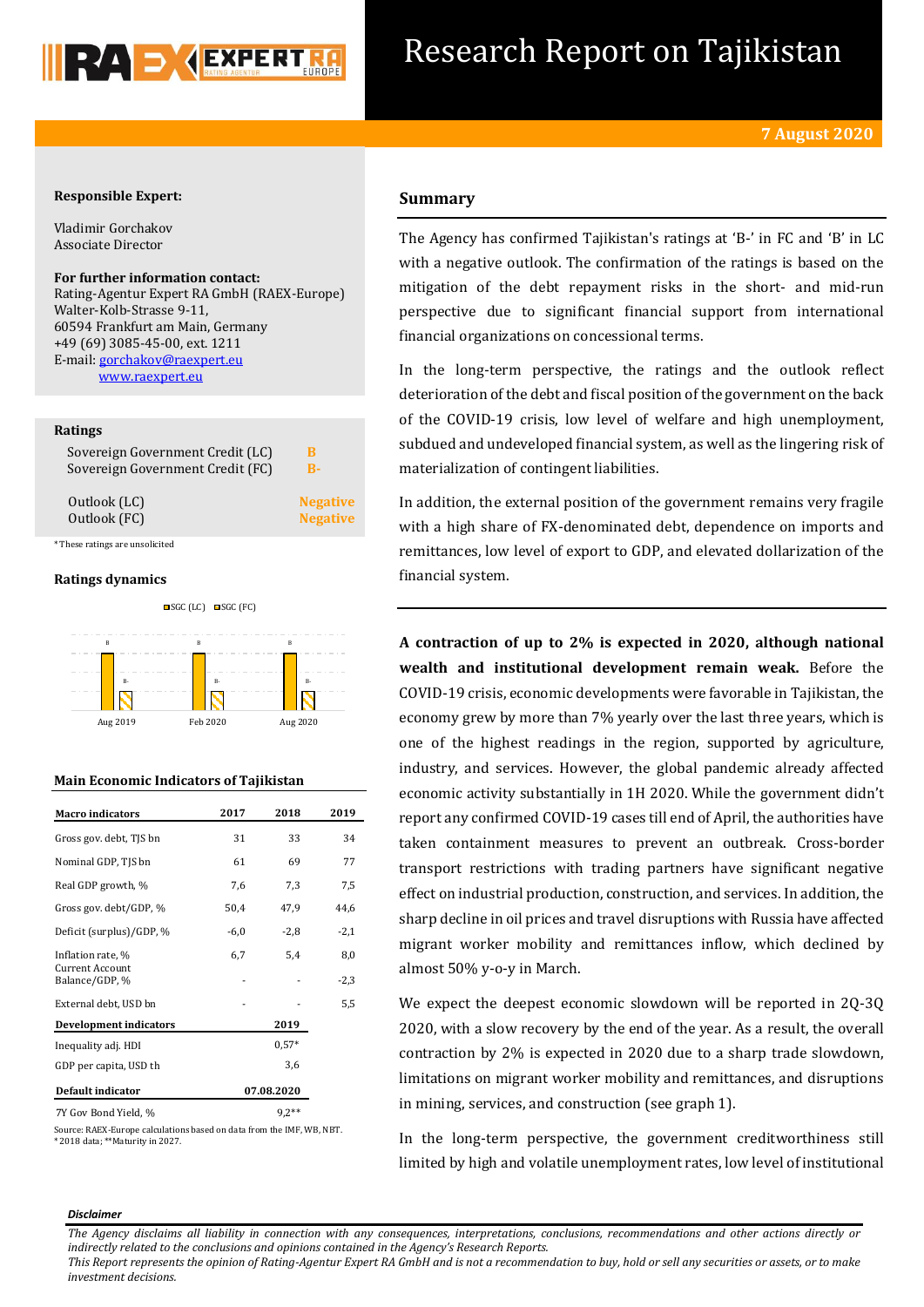

# Research Report on Tajikistan

## **Responsible Expert:**

Vladimir Gorchakov Associate Director

# **For further information contact:**

Rating-Agentur Expert RA GmbH (RAEX-Europe) Walter-Kolb-Strasse 9-11, 60594 Frankfurt am Main, Germany +49 (69) 3085-45-00, ext. 1211 E-mail[: gorchakov@raexpert.eu](mailto:gorchakov@raexpert.eu)  [www.raexpert.eu](http://raexpert.eu/)

## **Ratings**

| Sovereign Government Credit (LC) | В               |
|----------------------------------|-----------------|
| Sovereign Government Credit (FC) | R-              |
| Outlook (LC)                     | <b>Negative</b> |
| Outlook (FC)                     | <b>Negative</b> |
| * These ratings are unsolicited  |                 |

# **Ratings dynamics**



## **Main Economic Indicators of Tajikistan**

| <b>Macro</b> indicators                  | 2017   | 2018       | 2019   |
|------------------------------------------|--------|------------|--------|
| Gross gov. debt, TJS bn                  | 31     | 33         | 34     |
| Nominal GDP, TJS bn                      | 61     | 69         | 77     |
| Real GDP growth, %                       | 7,6    | 7,3        | 7,5    |
| Gross gov. debt/GDP, %                   | 50,4   | 47,9       | 44,6   |
| Deficit (surplus)/GDP, %                 | $-6,0$ | $-2,8$     | $-2,1$ |
| Inflation rate, %                        | 6,7    | 5,4        | 8,0    |
| <b>Current Account</b><br>Balance/GDP, % |        |            | $-2,3$ |
| External debt, USD bn                    |        |            | 5,5    |
| <b>Development indicators</b>            |        | 2019       |        |
| Inequality adj. HDI                      |        | $0.57*$    |        |
| GDP per capita, USD th                   |        | 3,6        |        |
| Default indicator                        |        | 07.08.2020 |        |
| 7Y Gov Bond Yield, %                     |        | $9.2**$    |        |

Source: RAEX-Europe calculations based on data from the IMF, WB, NBT. \* 2018 data; \*\*Maturity in 2027.

## **Summary**

The Agency has confirmed Tajikistan's ratings at 'B-' in FC and 'B' in LC with a negative outlook. The confirmation of the ratings is based on the mitigation of the debt repayment risks in the short- and mid-run perspective due to significant financial support from international financial organizations on concessional terms.

In the long-term perspective, the ratings and the outlook reflect deterioration of the debt and fiscal position of the government on the back of the COVID-19 crisis, low level of welfare and high unemployment, subdued and undeveloped financial system, as well as the lingering risk of materialization of contingent liabilities.

In addition, the external position of the government remains very fragile with a high share of FX-denominated debt, dependence on imports and remittances, low level of export to GDP, and elevated dollarization of the financial system.

**A contraction of up to 2% is expected in 2020, although national wealth and institutional development remain weak.** Before the COVID-19 crisis, economic developments were favorable in Tajikistan, the economy grew by more than 7% yearly over the last three years, which is one of the highest readings in the region, supported by agriculture, industry, and services. However, the global pandemic already affected economic activity substantially in 1H 2020. While the government didn't report any confirmed COVID-19 cases till end of April, the authorities have taken containment measures to prevent an outbreak. Cross-border transport restrictions with trading partners have significant negative effect on industrial production, construction, and services. In addition, the sharp decline in oil prices and travel disruptions with Russia have affected migrant worker mobility and remittances inflow, which declined by almost 50% y-o-y in March.

We expect the deepest economic slowdown will be reported in 2Q-3Q 2020, with a slow recovery by the end of the year. As a result, the overall contraction by 2% is expected in 2020 due to a sharp trade slowdown, limitations on migrant worker mobility and remittances, and disruptions in mining, services, and construction (see graph 1).

In the long-term perspective, the government creditworthiness still limited by high and volatile unemployment rates, low level of institutional

#### *Disclaimer*

*The Agency disclaims all liability in connection with any consequences, interpretations, conclusions, recommendations and other actions directly or indirectly related to the conclusions and opinions contained in the Agency's Research Reports.*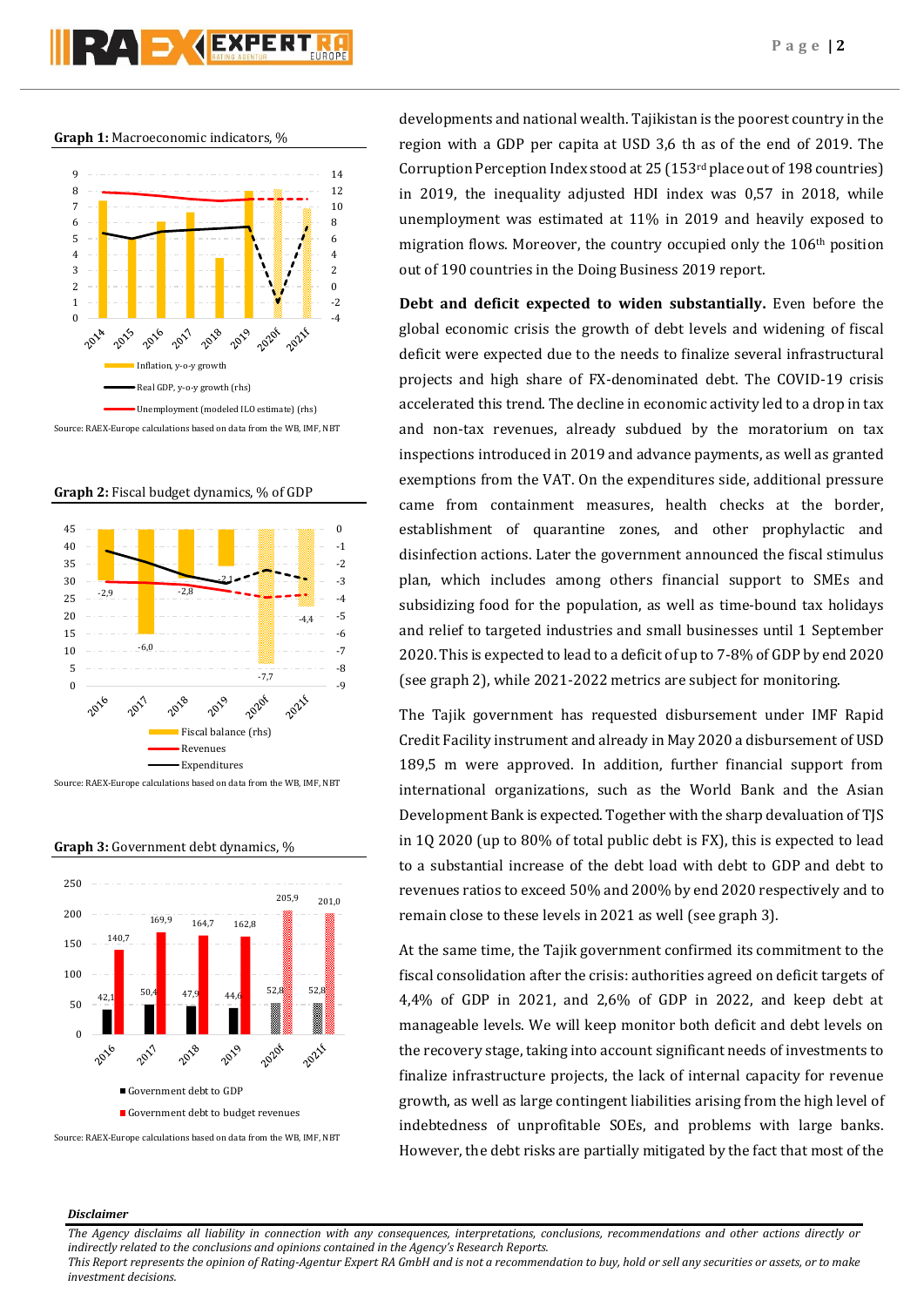

**Graph 1:** Macroeconomic indicators, %



**Graph 2:** Fiscal budget dynamics, % of GDP



Source: RAEX-Europe calculations based on data from the WB, IMF, NBT

**Graph 3:** Government debt dynamics, %



Source: RAEX-Europe calculations based on data from the WB, IMF, NBT

developments and national wealth. Tajikistan is the poorest country in the region with a GDP per capita at USD 3,6 th as of the end of 2019. The Corruption Perception Index stood at 25 (153rd place out of 198 countries) in 2019, the inequality adjusted HDI index was 0,57 in 2018, while unemployment was estimated at 11% in 2019 and heavily exposed to migration flows. Moreover, the country occupied only the 106th position out of 190 countries in the Doing Business 2019 report.

**Debt and deficit expected to widen substantially.** Even before the global economic crisis the growth of debt levels and widening of fiscal deficit were expected due to the needs to finalize several infrastructural projects and high share of FX-denominated debt. The COVID-19 crisis accelerated this trend. The decline in economic activity led to a drop in tax and non-tax revenues, already subdued by the moratorium on tax inspections introduced in 2019 and advance payments, as well as granted exemptions from the VAT. On the expenditures side, additional pressure came from containment measures, health checks at the border, establishment of quarantine zones, and other prophylactic and disinfection actions. Later the government announced the fiscal stimulus plan, which includes among others financial support to SMEs and subsidizing food for the population, as well as time-bound tax holidays and relief to targeted industries and small businesses until 1 September 2020. This is expected to lead to a deficit of up to 7-8% of GDP by end 2020 (see graph 2), while 2021-2022 metrics are subject for monitoring.

The Tajik government has requested disbursement under IMF Rapid Credit Facility instrument and already in May 2020 a disbursement of USD 189,5 m were approved. In addition, further financial support from international organizations, such as the World Bank and the Asian Development Bank is expected. Together with the sharp devaluation of TJS in 1Q 2020 (up to 80% of total public debt is FX), this is expected to lead to a substantial increase of the debt load with debt to GDP and debt to revenues ratios to exceed 50% and 200% by end 2020 respectively and to remain close to these levels in 2021 as well (see graph 3).

At the same time, the Tajik government confirmed its commitment to the fiscal consolidation after the crisis: authorities agreed on deficit targets of 4,4% of GDP in 2021, and 2,6% of GDP in 2022, and keep debt at manageable levels. We will keep monitor both deficit and debt levels on the recovery stage, taking into account significant needs of investments to finalize infrastructure projects, the lack of internal capacity for revenue growth, as well as large contingent liabilities arising from the high level of indebtedness of unprofitable SOEs, and problems with large banks. However, the debt risks are partially mitigated by the fact that most of the

## *Disclaimer*

*The Agency disclaims all liability in connection with any consequences, interpretations, conclusions, recommendations and other actions directly or indirectly related to the conclusions and opinions contained in the Agency's Research Reports.*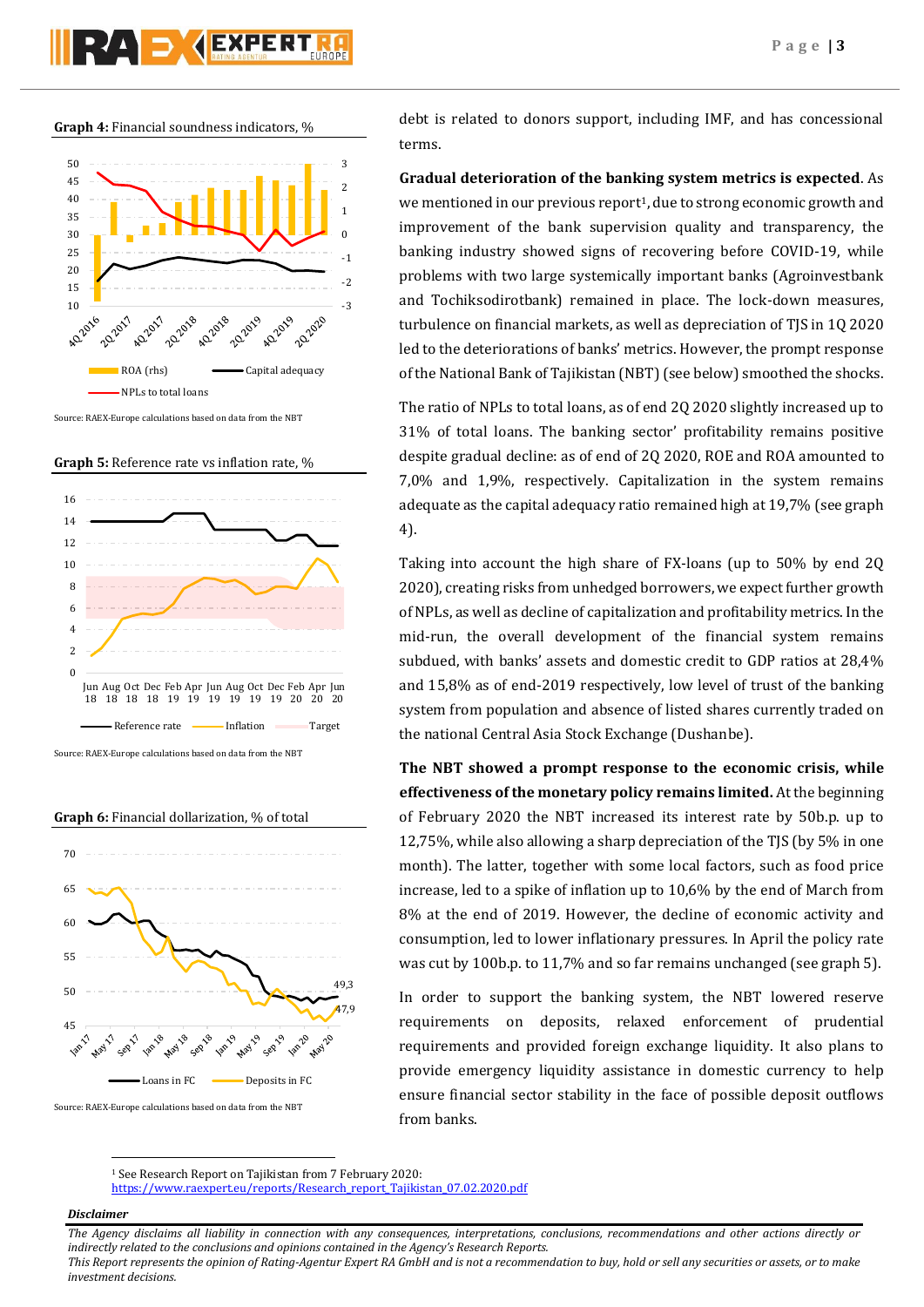**Graph 4:** Financial soundness indicators, %



Source: RAEX-Europe calculations based on data from the NBT





Source: RAEX-Europe calculations based on data from the NBT

**Graph 6:** Financial dollarization, % of total



Source: RAEX-Europe calculations based on data from the NBT

debt is related to donors support, including IMF, and has concessional terms.

**Gradual deterioration of the banking system metrics is expected**. As we mentioned in our previous report<sup>1</sup>, due to strong economic growth and improvement of the bank supervision quality and transparency, the banking industry showed signs of recovering before COVID-19, while problems with two large systemically important banks (Agroinvestbank and Tochiksodirotbank) remained in place. The lock-down measures, turbulence on financial markets, as well as depreciation of TJS in 1Q 2020 led to the deteriorations of banks' metrics. However, the prompt response of the National Bank of Tajikistan (NBT) (see below) smoothed the shocks.

The ratio of NPLs to total loans, as of end 2Q 2020 slightly increased up to 31% of total loans. The banking sector' profitability remains positive despite gradual decline: as of end of 2Q 2020, ROE and ROA amounted to 7,0% and 1,9%, respectively. Capitalization in the system remains adequate as the capital adequacy ratio remained high at 19,7% (see graph 4).

Taking into account the high share of FX-loans (up to 50% by end 2Q 2020), creating risks from unhedged borrowers, we expect further growth of NPLs, as well as decline of capitalization and profitability metrics. In the mid-run, the overall development of the financial system remains subdued, with banks' assets and domestic credit to GDP ratios at 28,4% and 15,8% as of end-2019 respectively, low level of trust of the banking system from population and absence of listed shares currently traded on the national Central Asia Stock Exchange (Dushanbe).

**The NBT showed a prompt response to the economic crisis, while effectiveness of the monetary policy remains limited.** At the beginning of February 2020 the NBT increased its interest rate by 50b.p. up to 12,75%, while also allowing a sharp depreciation of the TJS (by 5% in one month). The latter, together with some local factors, such as food price increase, led to a spike of inflation up to 10,6% by the end of March from 8% at the end of 2019. However, the decline of economic activity and consumption, led to lower inflationary pressures. In April the policy rate was cut by 100b.p. to 11,7% and so far remains unchanged (see graph 5).

In order to support the banking system, the NBT lowered reserve requirements on deposits, relaxed enforcement of prudential requirements and provided foreign exchange liquidity. It also plans to provide emergency liquidity assistance in domestic currency to help ensure financial sector stability in the face of possible deposit outflows from banks.

[https://www.raexpert.eu/reports/Research\\_report\\_Tajikistan\\_07.02.2020.pdf](https://www.raexpert.eu/reports/Research_report_Tajikistan_07.02.2020.pdf)

## *Disclaimer*

 $\overline{a}$ 

*The Agency disclaims all liability in connection with any consequences, interpretations, conclusions, recommendations and other actions directly or indirectly related to the conclusions and opinions contained in the Agency's Research Reports.*

<sup>1</sup> See Research Report on Tajikistan from 7 February 2020: